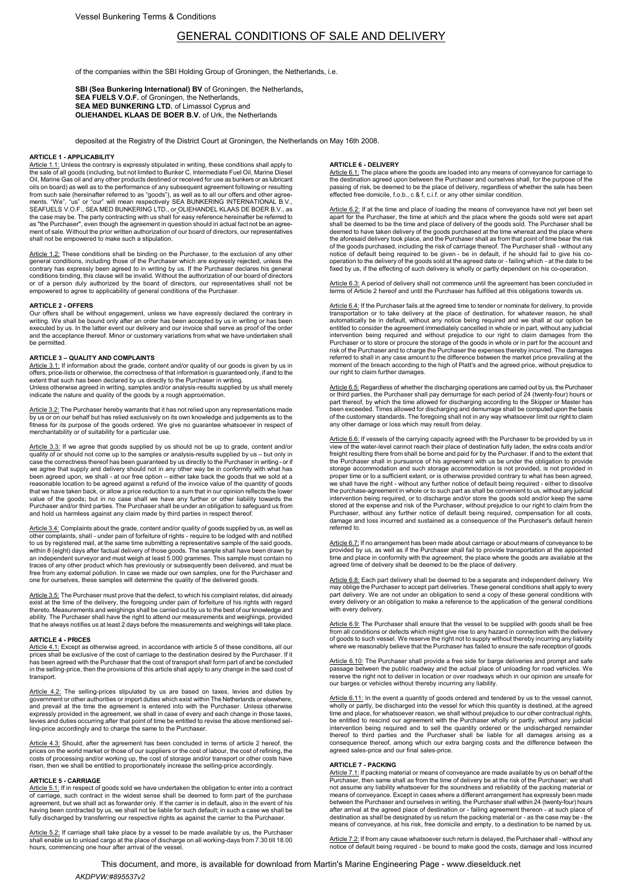# GENERAL CONDITIONS OF SALE AND DELIVERY

of the companies within the SBI Holding Group of Groningen, the Netherlands, i.e.

SBI (Sea Bunkering International) BV of Groningen, the Netherlands, SEA FUELS V.O.F. of Groningen, the Netherlands, SEA MED BUNKERING LTD. of Limassol Cyprus and OLIEHANDEL KLAAS DE BOER B.V. of Urk, the Netherlands

deposited at the Registry of the District Court at Groningen, the Netherlands on May 16th 2008.

### ARTICLE 1 - APPLICABILITY

Article 1.1: Unless the contrary is expressly stipulated in writing, these conditions shall apply to the sale of all goods (including, but not limited to Bunker C, Intermediate Fuel Oil, Marine Diesel Oil, Marine Gas oil and any other products destined or received for use as bunkers or as lubricant oils on board) as well as to the performance of any subsequent agreement following or resulting from such sale (hereinafter referred to as "goods"), as well as to all our offers and other agree-<br>ments. "We", "us" or "our" will mean respectively SEA BUNKERING INTERNATIONAL B.V.,<br>SEAFUELS V.O.F., SEA MED BUNKERING LTD. the case may be. The party contracting with us shall for easy reference hereinafter be referred to<br>as "the Purchaser", even though the agreement in question should in actual fact not be an agree-<br>ment of sale. Without the shall not be empowered to make such a stipulation.

<u>Article 1.2:</u> These conditions shall be binding on the Purchaser, to the exclusion of any other<br>general conditions, including those of the Purchaser which are expressly rejected, unless the<br>contrary has expressly been agr or of a person duly authorized by the board of directors, our representatives shall not be empowered to agree to applicability of general conditions of the Purchaser.

### ARTICLE 2 - OFFERS

Our offers shall be without engagement, unless we have expressly declared the contrary in<br>writing. We shall be bound only after an order has been accepted by us in writing or has been<br>executed by us. In the latter event ou and the acceptance thereof. Minor or customary variations from what we have undertaken shall be permitted.

### ARTICLE 3 – QUALITY AND COMPLAINTS

<u>Article 3.1:</u> If information about the grade, content and/or quality of our goods is given by us in<br>offers, price-lists or otherwise, the correctness of that information is guaranteed only, if and to the extent that such has been declared by us directly to the Purchaser in writing. Unless otherwise agreed in writing, samples and/or analysis-results supplied by us shall merely indicate the nature and quality of the goods by a rough approximation.

<u>Article 3.2:</u> The Purchaser hereby warrants that it has not relied upon any representations made<br>by us or on our behalf but has relied exclusively on its own knowledge and judgements as to the<br>fitness for its purpose of t merchantability or of suitability for a particular use.

<u>Article 3.3:</u> If we agree that goods supplied by us should not be up to grade, content and/or<br>quality of or should not come up to the samples or analysis-results supplied by us – but only in<br>case the correctness thereof h we agree that supply and delivery should not in any other way be in conformity with what has been agreed upon, we shall - at our free option – either take back the goods that we sold at a reasonable location to be agreed against a refund of the invoice value of the quantity of goods that we have taken back, or allow a price reduction to a sum that in our opinion reflects the lower value of the goods; but in no case shall we have any further or other liability towards the Purchaser and/or third parties. The Purchaser shall be under an obligation to safeguard us from and hold us harmless against any claim made by third parties in respect thereof.

Article 3.4: Complaints about the grade, content and/or quality of goods supplied by us, as well as other complaints, shall - under pain of forfeiture of rights - require to be lodged with and notified to us by registered mail, at the same time submitting a representative sample of the said goods, within 8 (eight) days after factual delivery of those goods. The sample shall have been drawn by an independent surveyor and must weigh at least 5.000 grammes. This sample must contain no traces of any other product which has previously or subsequently been delivered, and must be free from any external pollution. In case we made our own samples, one for the Purchaser and one for ourselves, these samples will determine the quality of the delivered goods.

<u>Article 3.5:</u> The Purchaser must prove that the defect, to which his complaint relates, did already<br>exist at the time of the delivery, the foregoing under pain of forfeiture of his rights with regard<br>thereto. Measurements that he always notifies us at least 2 days before the measurements and weighings will take place.

### ARTICLE 4 - PRICES

<u>Article 4.1:</u> Except as otherwise agreed, in accordance with article 5 of these conditions, all our<br>prices shall be exclusive of the cost of carriage to the destination desired by the Purchaser. If it has been agreed with the Purchaser that the cost of transport shall form part of and be concluded in the selling-price, then the provisions of this article shall apply to any change in the said cost of transport.

<u>Article 4.2:</u> The selling-prices stipulated by us are based on taxes, levies and duties by<br>government or other authorities or import duties which exist within The Netherlands or elsewhere, and prevail at the time the agreement is entered into with the Purchaser. Unless otherwise expressly provided in the agreement, we shall in case of every and each change in those taxes, levies and duties occurring after that point of time be entitled to revise the above mentioned sel-ling-price accordingly and to charge the same to the Purchaser.

Article 4.3: Should, after the agreement has been concluded in terms of article 2 hereof, the prices on the world market or those of our suppliers or the world costs of prefining, the costs of process of process of process

## ARTICLE 5 - CARRIAGE

Article 5.1: If in respect of goods sold we have undertaken the obligation to enter into a contract<br>of carriage, such contract in the widest sense shall be deemed to form part of the purchase agreement, but we shall act as forwarder only. If the carrier is in default, also in the event of his having been contracted by us, we shall not be liable for such default; in such a case we shall be fully discharged by transferring our respective rights as against the carrier to the Purchaser.

<u>Article 5.2:</u> If carriage shall take place by a vessel to be made available by us, the Purchaser<br>shall enable us to unload cargo at the place of discharge on all working-days from 7.30 till 18.00 hours, commencing one hour after arrival of the vessel.

### ARTICLE 6 - DELIVERY

<u>Article 6.1:</u> The place where the goods are loaded into any means of conveyance for carriage to<br>the destination agreed upon between the Purchaser and ourselves shall, for the purpose of the passing of risk, be deemed to be the place of delivery, regardless of whether the sale has been effected free domicile, f.o.b., c & f, c.i.f. or any other similar condition.

Article 6.2: If at the time and place of loading the means of conveyance have not yet been set<br>apart for the Purchaser, the time at which and the place where the goods sold were set apart<br>shall be deemed to be the time and the aforesaid delivery took place, and the Purchaser shall as from that point of time bear the risk of the goods purchased, including the risk of carriage thereof. The Purchaser shall - without any notice of default being required to be given - be in default, if he should fail to give his cooperation to the delivery of the goods sold at the agreed date or - failing which - at the date to be fixed by us, if the effecting of such delivery is wholly or partly dependent on his co-operation.

<u>Article 6.3:</u> A period of delivery shall not commence until the agreement has been concluded in<br>terms of Article 2 hereof and until the Purchaser has fulfilled all this obligations towards us.

Article 6.4: If the Purchaser fails at the agreed time to tender or nominate for delivery, to provide transportation or to take delivery at the place of destination, for whatever reason, he shall automatically be in default, without any notice being required and we shall at our option be entitled to consider the agreement immediately cancelled in whole or in part, without any judicial intervention being required and without prejudice to our right to claim damages from the Purchaser or to store or procure the storage of the goods in whole or in part for the account and risk of the Purchaser and to charge the Purchaser the expenses thereby incurred. The damages referred to shall in any case amount to the difference between the market price prevailing at the moment of the breach according to the high of Platt's and the agreed price, without prejudice to our right to claim further damages.

Article 6.5: Regardless of whether the discharging operations are carried out by us, the Purchaser or third parties, the Purchaser shall pay demurrage for each period of 24 (twenty-four) hours or part thereof, by which the time allowed for discharging according to the Skipper or Master has been exceeded. Times allowed for discharging and demurrage shall be computed upon the basis of the customary standards. The foregoing shall not in any way whatsoever limit our right to claim any other damage or loss which may result from delay.

<u>Article 6.6:</u> If vessels of the carrying capacity agreed with the Purchaser to be provided by us in<br>view of the water-level cannot reach their place of destination fully laden, the extra costs and/or freight resulting there from shall be borne and paid for by the Purchaser. If and to the extent that the Purchaser shall in pursuance of his agreement with us be under the obligation to provide storage accommodation and such storage accommodation is not provided, is not provided in proper time or to a sufficient extent, or is otherwise provided contrary to what has been agreed, we shall have the right - without any further notice of default being required - either to dissolve the purchase-agreement in whole or to such part as shall be convenient to us, without any judicial intervention being required, or to discharge and/or store the goods sold and/or keep the same<br>stored at the expense and risk of the Purchaser, without prejudice to our right to claim from the<br>Purchaser, without any further referred to.

<u>Article 6.7:</u> If no arrangement has been made about carriage or about means of conveyance to be<br>provided by us, as well as if the Purchaser shall fail to provide transportation at the appointed time and place in conformity with the agreement, the place where the goods are available at the agreed time of delivery shall be deemed to be the place of delivery.

<u>Article 6.8:</u> Each part delivery shall be deemed to be a separate and independent delivery. We<br>may oblige the Purchaser to accept part deliveries. These general conditions shall apply to every part delivery. We are not under an obligation to send a copy of these general conditions with every delivery or an obligation to make a reference to the application of the general conditions with every delivery.

<u>Article 6.9:</u> The Purchaser shall ensure that the vessel to be supplied with goods shall be free<br>from all conditions or defects which might give rise to any hazard in connection with the delivery of goods to such vessel. We reserve the right not to supply without thereby incurring any liability where we reasonably believe that the Purchaser has failed to ensure the safe reception of goods.

<u>Article 6.10:</u> The Purchaser shall provide a free side for barge deliveries and prompt and safe<br>passage between the public roadway and the actual place of unloading for road vehicles. We<br>reserve the right not to deliver i our barges or vehicles without thereby incurring any liability.

Article 6.11: In the event a quantity of goods ordered and tendered by us to the vessel cannot, wholly or partly, be discharged into the vessel for which this quantity is destined, at the agreed<br>time and place, for whatsoever reason, we shall without prejudice to our other contractual rights,<br>be entitled to rescind o intervention being required and to sell the quantity ordered or the undischarged remainder thereof to third parties and the Purchaser shall be liable for all damages arising as a consequence thereof, among which our extra barging costs and the difference between the agreed sales-price and our final sales-price.

### ARTICLE 7 - PACKING

Article 7.1: If packing material or means of conveyance are made available by us on behalf of the Purchaser, then same shall as from the time of delivery be at the risk of the Purchaser; we shall not assume any liability whatsoever for the soundness and reliability of the packing material or means of conveyance. Except in cases where a different arrangement has expressly been made<br>between the Purchaser and ourselves in writing, the Purchaser shall within 24 (twenty-four) hours<br>after arrival at the agreed place means of conveyance, at his risk, free domicile and empty, to a destination to be named by us.

<u>Article 7.2:</u> If from any cause whatsoever such return is delayed, the Purchaser shall - without any<br>notice of default being required - be bound to make good the costs, damage and loss incurred